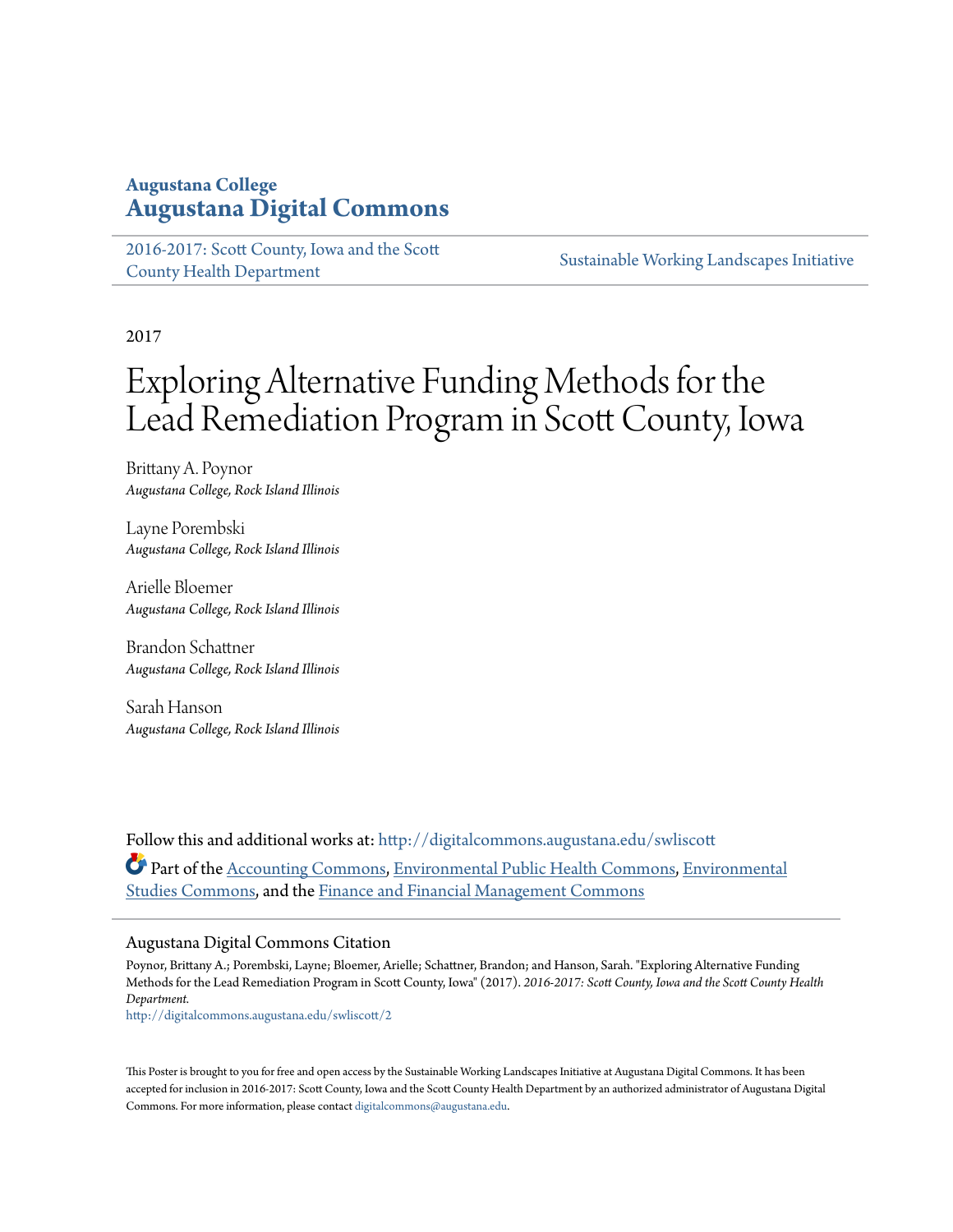## **Augustana College [Augustana Digital Commons](http://digitalcommons.augustana.edu?utm_source=digitalcommons.augustana.edu%2Fswliscott%2F2&utm_medium=PDF&utm_campaign=PDFCoverPages)**

[2016-2017: Scott County, Iowa and the Scott](http://digitalcommons.augustana.edu/swliscott?utm_source=digitalcommons.augustana.edu%2Fswliscott%2F2&utm_medium=PDF&utm_campaign=PDFCoverPages) [County Health Department](http://digitalcommons.augustana.edu/swliscott?utm_source=digitalcommons.augustana.edu%2Fswliscott%2F2&utm_medium=PDF&utm_campaign=PDFCoverPages)

[Sustainable Working Landscapes Initiative](http://digitalcommons.augustana.edu/swli?utm_source=digitalcommons.augustana.edu%2Fswliscott%2F2&utm_medium=PDF&utm_campaign=PDFCoverPages)

2017

# Exploring Alternative Funding Methods for the Lead Remediation Program in Scott County, Iowa

Brittany A. Poynor *Augustana College, Rock Island Illinois*

Layne Porembski *Augustana College, Rock Island Illinois*

Arielle Bloemer *Augustana College, Rock Island Illinois*

Brandon Schattner *Augustana College, Rock Island Illinois*

Sarah Hanson *Augustana College, Rock Island Illinois*

Follow this and additional works at: [http://digitalcommons.augustana.edu/swliscott](http://digitalcommons.augustana.edu/swliscott?utm_source=digitalcommons.augustana.edu%2Fswliscott%2F2&utm_medium=PDF&utm_campaign=PDFCoverPages) Part of the [Accounting Commons](http://network.bepress.com/hgg/discipline/625?utm_source=digitalcommons.augustana.edu%2Fswliscott%2F2&utm_medium=PDF&utm_campaign=PDFCoverPages), [Environmental Public Health Commons](http://network.bepress.com/hgg/discipline/739?utm_source=digitalcommons.augustana.edu%2Fswliscott%2F2&utm_medium=PDF&utm_campaign=PDFCoverPages), [Environmental](http://network.bepress.com/hgg/discipline/1333?utm_source=digitalcommons.augustana.edu%2Fswliscott%2F2&utm_medium=PDF&utm_campaign=PDFCoverPages) [Studies Commons](http://network.bepress.com/hgg/discipline/1333?utm_source=digitalcommons.augustana.edu%2Fswliscott%2F2&utm_medium=PDF&utm_campaign=PDFCoverPages), and the [Finance and Financial Management Commons](http://network.bepress.com/hgg/discipline/631?utm_source=digitalcommons.augustana.edu%2Fswliscott%2F2&utm_medium=PDF&utm_campaign=PDFCoverPages)

#### Augustana Digital Commons Citation

Poynor, Brittany A.; Porembski, Layne; Bloemer, Arielle; Schattner, Brandon; and Hanson, Sarah. "Exploring Alternative Funding Methods for the Lead Remediation Program in Scott County, Iowa" (2017). *2016-2017: Scott County, Iowa and the Scott County Health Department.*

[http://digitalcommons.augustana.edu/swliscott/2](http://digitalcommons.augustana.edu/swliscott/2?utm_source=digitalcommons.augustana.edu%2Fswliscott%2F2&utm_medium=PDF&utm_campaign=PDFCoverPages)

This Poster is brought to you for free and open access by the Sustainable Working Landscapes Initiative at Augustana Digital Commons. It has been accepted for inclusion in 2016-2017: Scott County, Iowa and the Scott County Health Department by an authorized administrator of Augustana Digital Commons. For more information, please contact [digitalcommons@augustana.edu.](mailto:digitalcommons@augustana.edu)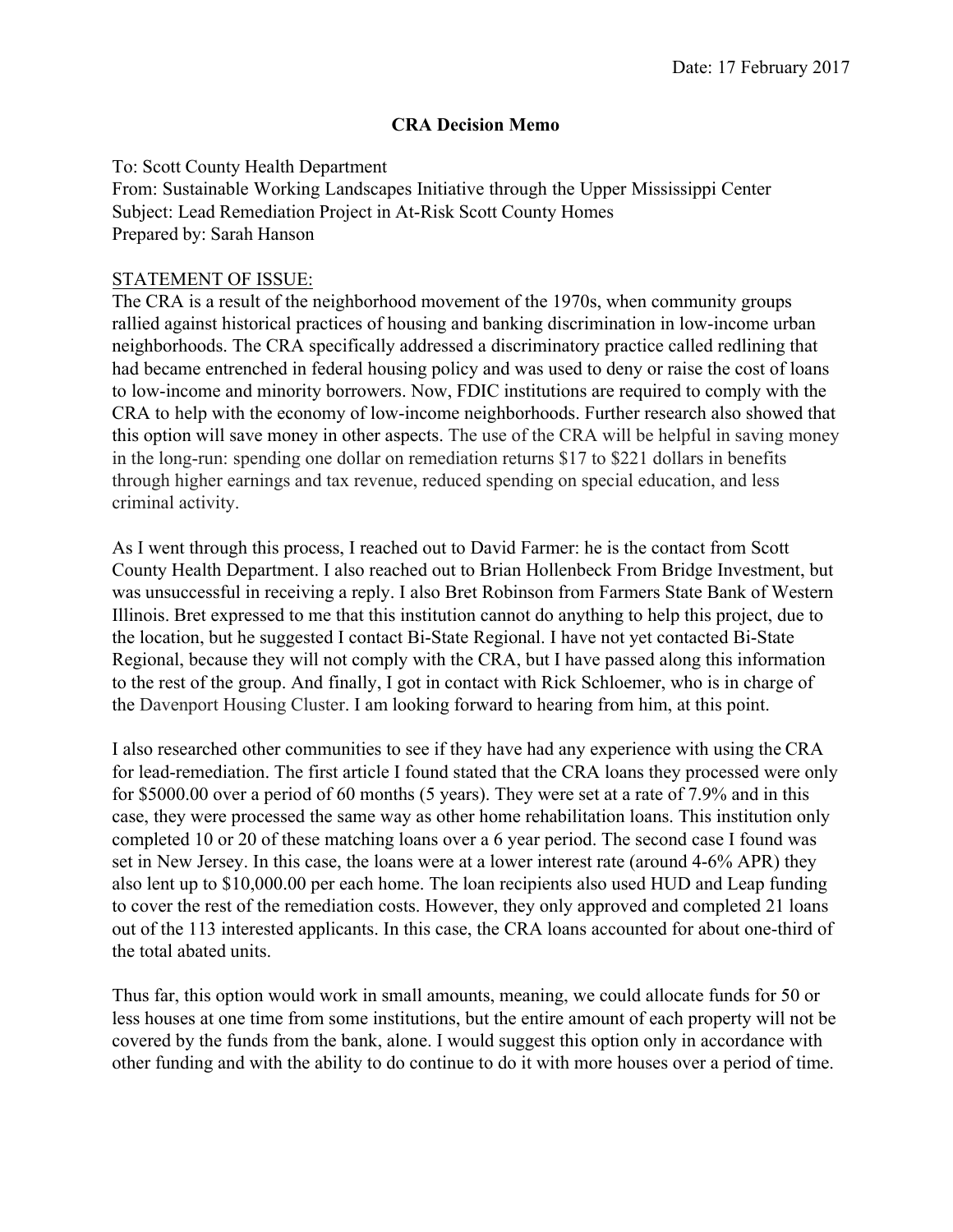#### **CRA Decision Memo**

To: Scott County Health Department From: Sustainable Working Landscapes Initiative through the Upper Mississippi Center Subject: Lead Remediation Project in At-Risk Scott County Homes Prepared by: Sarah Hanson

#### STATEMENT OF ISSUE:

The CRA is a result of the neighborhood movement of the 1970s, when community groups rallied against historical practices of housing and banking discrimination in low-income urban neighborhoods. The CRA specifically addressed a discriminatory practice called redlining that had became entrenched in federal housing policy and was used to deny or raise the cost of loans to low-income and minority borrowers. Now, FDIC institutions are required to comply with the CRA to help with the economy of low-income neighborhoods. Further research also showed that this option will save money in other aspects. The use of the CRA will be helpful in saving money in the long-run: spending one dollar on remediation returns \$17 to \$221 dollars in benefits through higher earnings and tax revenue, reduced spending on special education, and less criminal activity.

As I went through this process, I reached out to David Farmer: he is the contact from Scott County Health Department. I also reached out to Brian Hollenbeck From Bridge Investment, but was unsuccessful in receiving a reply. I also Bret Robinson from Farmers State Bank of Western Illinois. Bret expressed to me that this institution cannot do anything to help this project, due to the location, but he suggested I contact Bi-State Regional. I have not yet contacted Bi-State Regional, because they will not comply with the CRA, but I have passed along this information to the rest of the group. And finally, I got in contact with Rick Schloemer, who is in charge of the Davenport Housing Cluster. I am looking forward to hearing from him, at this point.

I also researched other communities to see if they have had any experience with using the CRA for lead-remediation. The first article I found stated that the CRA loans they processed were only for \$5000.00 over a period of 60 months (5 years). They were set at a rate of 7.9% and in this case, they were processed the same way as other home rehabilitation loans. This institution only completed 10 or 20 of these matching loans over a 6 year period. The second case I found was set in New Jersey. In this case, the loans were at a lower interest rate (around 4-6% APR) they also lent up to \$10,000.00 per each home. The loan recipients also used HUD and Leap funding to cover the rest of the remediation costs. However, they only approved and completed 21 loans out of the 113 interested applicants. In this case, the CRA loans accounted for about one-third of the total abated units.

Thus far, this option would work in small amounts, meaning, we could allocate funds for 50 or less houses at one time from some institutions, but the entire amount of each property will not be covered by the funds from the bank, alone. I would suggest this option only in accordance with other funding and with the ability to do continue to do it with more houses over a period of time.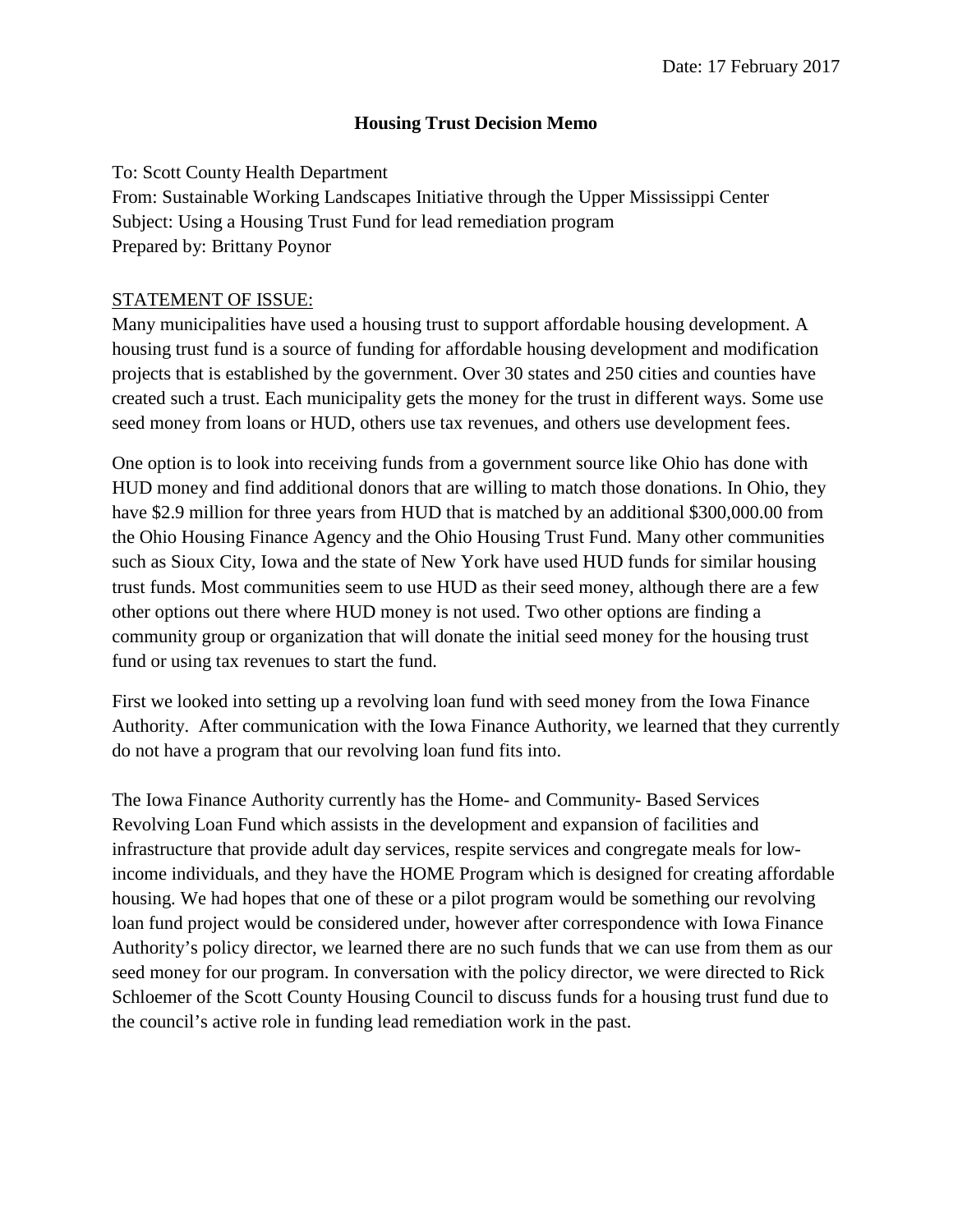#### **Housing Trust Decision Memo**

To: Scott County Health Department From: Sustainable Working Landscapes Initiative through the Upper Mississippi Center Subject: Using a Housing Trust Fund for lead remediation program Prepared by: Brittany Poynor

### STATEMENT OF ISSUE:

Many municipalities have used a housing trust to support affordable housing development. A housing trust fund is a source of funding for affordable housing development and modification projects that is established by the government. Over 30 states and 250 cities and counties have created such a trust. Each municipality gets the money for the trust in different ways. Some use seed money from loans or HUD, others use tax revenues, and others use development fees.

One option is to look into receiving funds from a government source like Ohio has done with HUD money and find additional donors that are willing to match those donations. In Ohio, they have \$2.9 million for three years from HUD that is matched by an additional \$300,000.00 from the Ohio Housing Finance Agency and the Ohio Housing Trust Fund. Many other communities such as Sioux City, Iowa and the state of New York have used HUD funds for similar housing trust funds. Most communities seem to use HUD as their seed money, although there are a few other options out there where HUD money is not used. Two other options are finding a community group or organization that will donate the initial seed money for the housing trust fund or using tax revenues to start the fund.

First we looked into setting up a revolving loan fund with seed money from the Iowa Finance Authority. After communication with the Iowa Finance Authority, we learned that they currently do not have a program that our revolving loan fund fits into.

The Iowa Finance Authority currently has the Home- and Community- Based Services Revolving Loan Fund which assists in the development and expansion of facilities and infrastructure that provide adult day services, respite services and congregate meals for lowincome individuals, and they have the HOME Program which is designed for creating affordable housing. We had hopes that one of these or a pilot program would be something our revolving loan fund project would be considered under, however after correspondence with Iowa Finance Authority's policy director, we learned there are no such funds that we can use from them as our seed money for our program. In conversation with the policy director, we were directed to Rick Schloemer of the Scott County Housing Council to discuss funds for a housing trust fund due to the council's active role in funding lead remediation work in the past.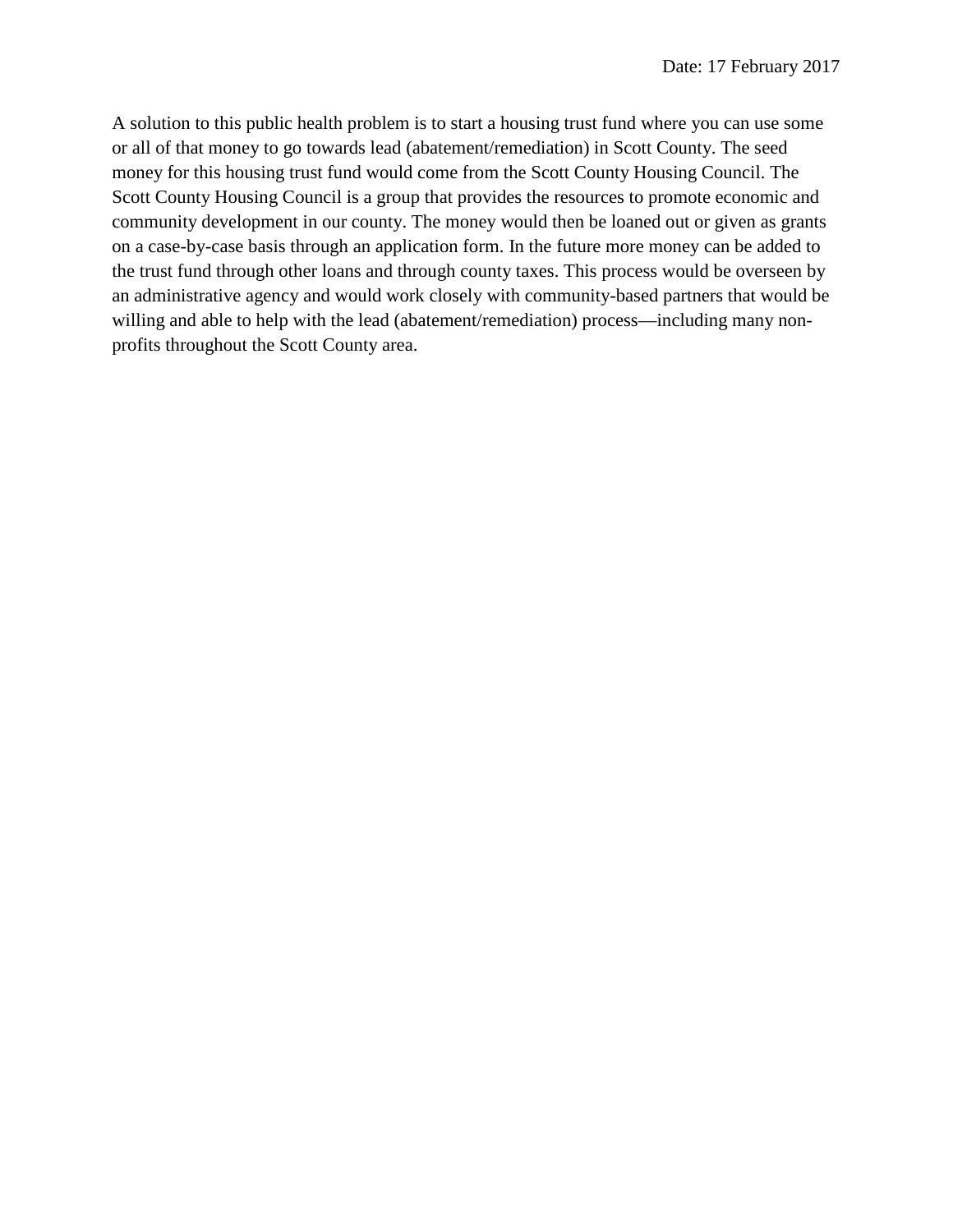A solution to this public health problem is to start a housing trust fund where you can use some or all of that money to go towards lead (abatement/remediation) in Scott County. The seed money for this housing trust fund would come from the Scott County Housing Council. The Scott County Housing Council is a group that provides the resources to promote economic and community development in our county. The money would then be loaned out or given as grants on a case-by-case basis through an application form. In the future more money can be added to the trust fund through other loans and through county taxes. This process would be overseen by an administrative agency and would work closely with community-based partners that would be willing and able to help with the lead (abatement/remediation) process—including many nonprofits throughout the Scott County area.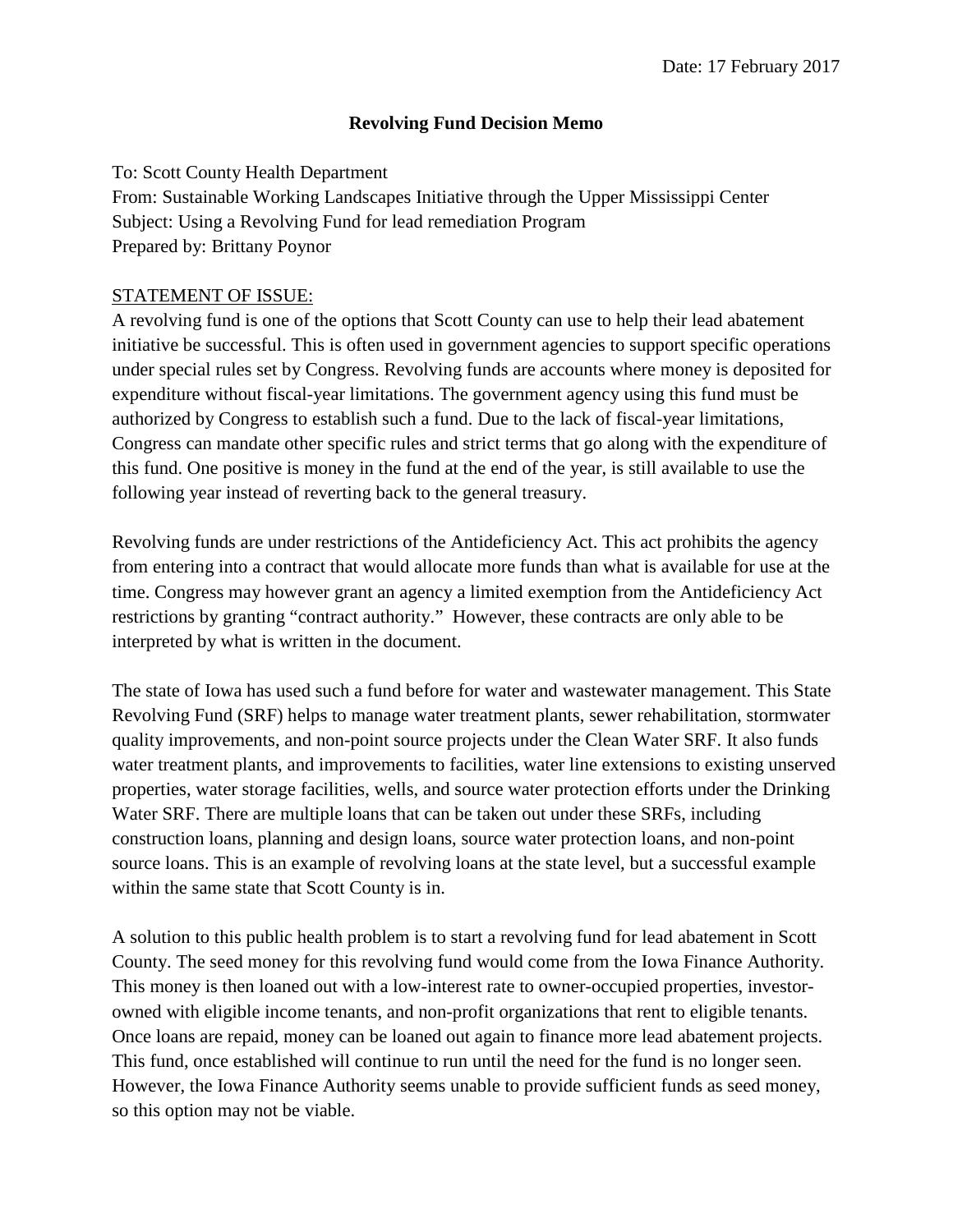#### **Revolving Fund Decision Memo**

To: Scott County Health Department From: Sustainable Working Landscapes Initiative through the Upper Mississippi Center Subject: Using a Revolving Fund for lead remediation Program Prepared by: Brittany Poynor

#### STATEMENT OF ISSUE:

A revolving fund is one of the options that Scott County can use to help their lead abatement initiative be successful. This is often used in government agencies to support specific operations under special rules set by Congress. Revolving funds are accounts where money is deposited for expenditure without fiscal-year limitations. The government agency using this fund must be authorized by Congress to establish such a fund. Due to the lack of fiscal-year limitations, Congress can mandate other specific rules and strict terms that go along with the expenditure of this fund. One positive is money in the fund at the end of the year, is still available to use the following year instead of reverting back to the general treasury.

Revolving funds are under restrictions of the Antideficiency Act. This act prohibits the agency from entering into a contract that would allocate more funds than what is available for use at the time. Congress may however grant an agency a limited exemption from the Antideficiency Act restrictions by granting "contract authority." However, these contracts are only able to be interpreted by what is written in the document.

The state of Iowa has used such a fund before for water and wastewater management. This State Revolving Fund (SRF) helps to manage water treatment plants, sewer rehabilitation, stormwater quality improvements, and non-point source projects under the Clean Water SRF. It also funds water treatment plants, and improvements to facilities, water line extensions to existing unserved properties, water storage facilities, wells, and source water protection efforts under the Drinking Water SRF. There are multiple loans that can be taken out under these SRFs, including construction loans, planning and design loans, source water protection loans, and non-point source loans. This is an example of revolving loans at the state level, but a successful example within the same state that Scott County is in.

A solution to this public health problem is to start a revolving fund for lead abatement in Scott County. The seed money for this revolving fund would come from the Iowa Finance Authority. This money is then loaned out with a low-interest rate to owner-occupied properties, investorowned with eligible income tenants, and non-profit organizations that rent to eligible tenants. Once loans are repaid, money can be loaned out again to finance more lead abatement projects. This fund, once established will continue to run until the need for the fund is no longer seen. However, the Iowa Finance Authority seems unable to provide sufficient funds as seed money, so this option may not be viable.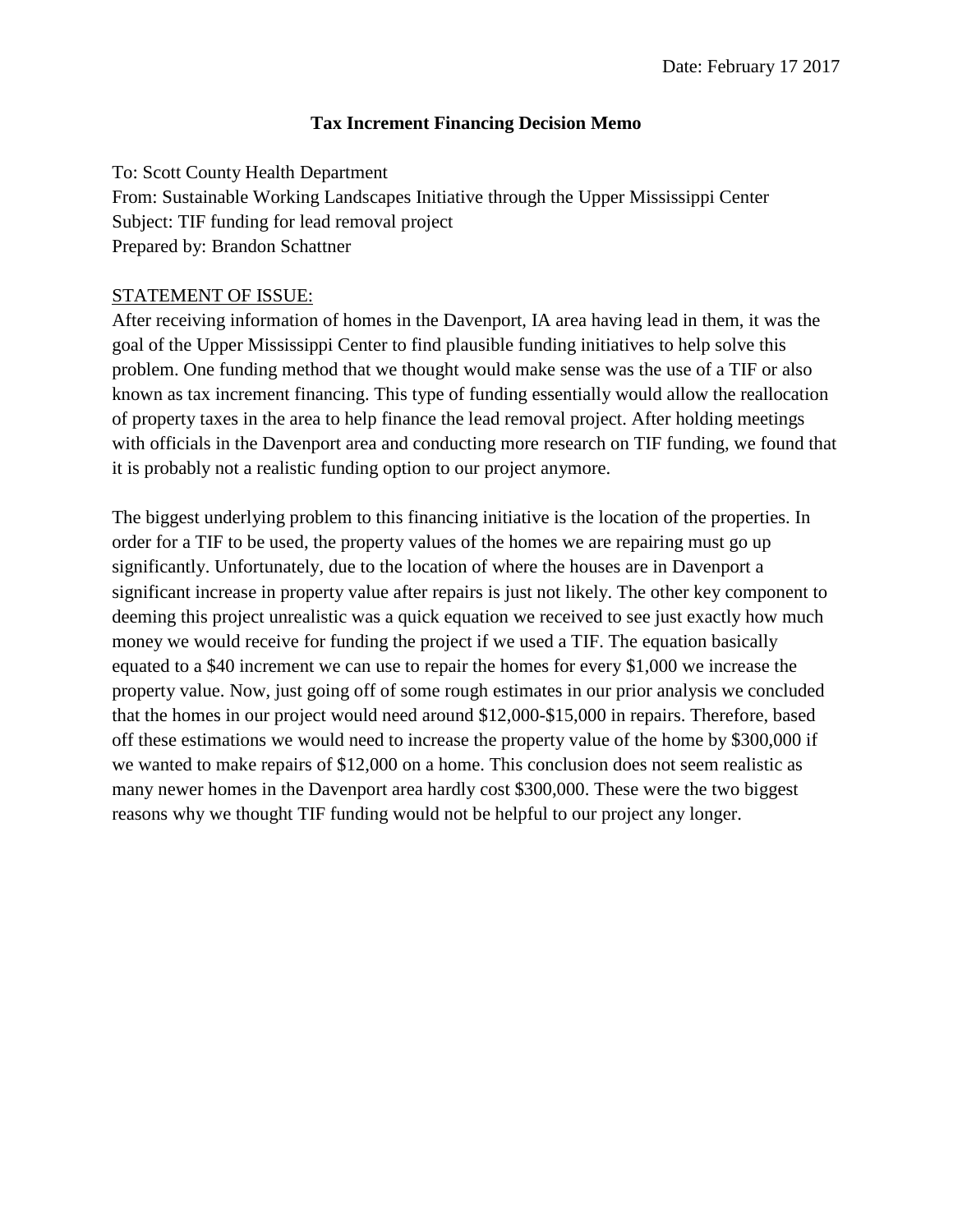#### **Tax Increment Financing Decision Memo**

To: Scott County Health Department From: Sustainable Working Landscapes Initiative through the Upper Mississippi Center Subject: TIF funding for lead removal project Prepared by: Brandon Schattner

#### STATEMENT OF ISSUE:

After receiving information of homes in the Davenport, IA area having lead in them, it was the goal of the Upper Mississippi Center to find plausible funding initiatives to help solve this problem. One funding method that we thought would make sense was the use of a TIF or also known as tax increment financing. This type of funding essentially would allow the reallocation of property taxes in the area to help finance the lead removal project. After holding meetings with officials in the Davenport area and conducting more research on TIF funding, we found that it is probably not a realistic funding option to our project anymore.

The biggest underlying problem to this financing initiative is the location of the properties. In order for a TIF to be used, the property values of the homes we are repairing must go up significantly. Unfortunately, due to the location of where the houses are in Davenport a significant increase in property value after repairs is just not likely. The other key component to deeming this project unrealistic was a quick equation we received to see just exactly how much money we would receive for funding the project if we used a TIF. The equation basically equated to a \$40 increment we can use to repair the homes for every \$1,000 we increase the property value. Now, just going off of some rough estimates in our prior analysis we concluded that the homes in our project would need around \$12,000-\$15,000 in repairs. Therefore, based off these estimations we would need to increase the property value of the home by \$300,000 if we wanted to make repairs of \$12,000 on a home. This conclusion does not seem realistic as many newer homes in the Davenport area hardly cost \$300,000. These were the two biggest reasons why we thought TIF funding would not be helpful to our project any longer.